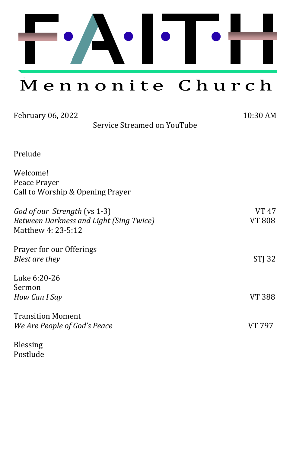

Mennonite Church

| February 06, 2022<br>Service Streamed on YouTube                                              | 10:30 AM               |
|-----------------------------------------------------------------------------------------------|------------------------|
| Prelude                                                                                       |                        |
| Welcome!<br>Peace Prayer<br>Call to Worship & Opening Prayer                                  |                        |
| God of our Strength (vs 1-3)<br>Between Darkness and Light (Sing Twice)<br>Matthew 4: 23-5:12 | VT 47<br><b>VT 808</b> |
| Prayer for our Offerings<br>Blest are they                                                    | STJ 32                 |
| Luke 6:20-26<br>Sermon<br>How Can I Say                                                       | VT 388                 |
| <b>Transition Moment</b><br>We Are People of God's Peace                                      | <b>VT 797</b>          |
| <b>Blessing</b>                                                                               |                        |

Postlude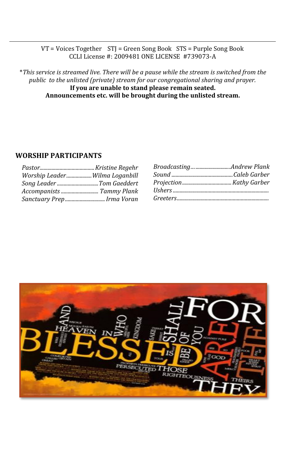#### VT = Voices Together STJ = Green Song Book STS = Purple Song Book CCLI License #: 2009481 ONE LICENSE #739073-A

\**This service is streamed live. There will be a pause while the stream is switched from the public to the unlisted (private) stream for our congregational sharing and prayer.*  **If you are unable to stand please remain seated. Announcements etc. will be brought during the unlisted stream.**

#### **WORSHIP PARTICIPANTS**

| Worship LeaderWilma Loganbill |  |
|-------------------------------|--|
| Song Leader Tom Gaeddert      |  |
|                               |  |
| Sanctuary PrepIrma Voran      |  |

| BroadcastingAndrew Plank |  |
|--------------------------|--|
|                          |  |
|                          |  |
|                          |  |
|                          |  |
|                          |  |

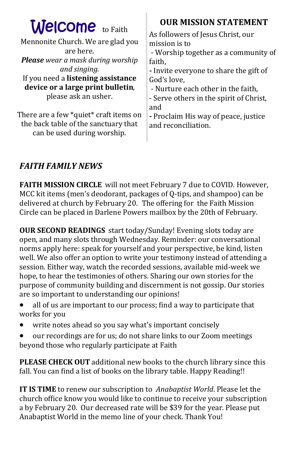| <b>Welcome</b> to Faith<br>Mennonite Church. We are glad you<br>are here.<br><b>Please</b> wear a mask during worship<br>and singing.<br>If you need a listening assistance<br>device or a large print bulletin,<br>please ask an usher.<br>There are a few *quiet* craft items on | <b>OUR MISSION STATEMENT</b><br>As followers of Jesus Christ, our<br>mission is to<br>- Worship together as a community of<br>faith,<br>- Invite everyone to share the gift of<br>God's love,<br>- Nurture each other in the faith,<br>- Serve others in the spirit of Christ,<br>and |
|------------------------------------------------------------------------------------------------------------------------------------------------------------------------------------------------------------------------------------------------------------------------------------|---------------------------------------------------------------------------------------------------------------------------------------------------------------------------------------------------------------------------------------------------------------------------------------|
| the back table of the sanctuary that                                                                                                                                                                                                                                               | - Proclaim His way of peace, justice                                                                                                                                                                                                                                                  |
| can be used during worship.                                                                                                                                                                                                                                                        | and reconciliation.                                                                                                                                                                                                                                                                   |

### *FAITH FAMILY NEWS*

**FAITH MISSION CIRCLE** will not meet February 7 due to COVID. However, MCC kit items (men's deodorant, packages of Q-tips, and shampoo) can be delivered at church by February 20. The offering for the Faith Mission Circle can be placed in Darlene Powers mailbox by the 20th of February.

**OUR SECOND READINGS** start today/Sunday! Evening slots today are open, and many slots through Wednesday. Reminder: our conversational norms apply here: speak for yourself and your perspective, be kind, listen well. We also offer an option to write your testimony instead of attending a session. Either way, watch the recorded sessions, available mid-week we hope, to hear the testimonies of others. Sharing our own stories for the purpose of community building and discernment is not gossip. Our stories are so important to understanding our opinions!

- all of us are important to our process; find a way to participate that works for you
- write notes ahead so you say what's important concisely
- our recordings are for us; do not share links to our Zoom meetings beyond those who regularly participate at Faith

**PLEASE CHECK OUT** additional new books to the church library since this fall. You can find a list of books on the library table. Happy Reading!!

**IT IS TIME** to renew our subscription to *Anabaptist World*. Please let the church office know you would like to continue to receive your subscription a by February 20. Our decreased rate will be \$39 for the year. Please put Anabaptist World in the memo line of your check. Thank You!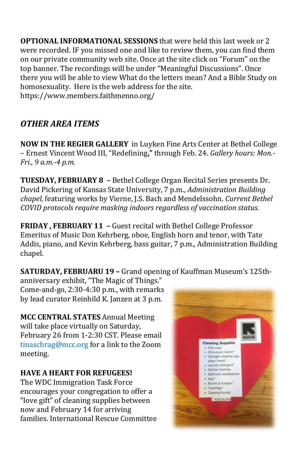**OPTIONAL INFORMATIONAL SESSIONS** that were held this last week or 2 were recorded. IF you missed one and like to review them, you can find them on our private community web site. Once at the site click on "Forum" on the top banner. The recordings will be under "Meaningful Discussions". Once there you will be able to view What do the letters mean? And a Bible Study on homosexuality. Here is the web address for the site. https://www.members.faithmenno.org/

## *OTHER AREA ITEMS*

**NOW IN THE REGIER GALLERY** in Luyken Fine Arts Center at Bethel College – Ernest Vincent Wood III, "Redefining**,"** through Feb. 24. *Gallery hours: Mon.- Fri., 9 a.m.-4 p.m.*

**TUESDAY, FEBRUARY 8 –** Bethel College Organ Recital Series presents Dr. David Pickering of Kansas State University, 7 p.m., *Administration Building chapel*, featuring works by Vierne, J.S. Bach and Mendelssohn. *Current Bethel COVID protocols require masking indoors regardless of vaccination status.*

**FRIDAY , FEBRUARY 11 –** Guest recital with Bethel College Professor Emeritus of Music Don Kehrberg, oboe, English horn and tenor, with Tate Addis, piano, and Kevin Kehrberg, bass guitar, 7 p.m., Administration Building chapel.

**SATURDAY, FEBRUARU 19 –** Grand opening of Kauffman Museum's 125th-

anniversary exhibit, "The Magic of Things." Come-and-go, 2:30-4:30 p.m., with remarks by lead curator Reinhild K. Janzen at 3 p.m.

**MCC CENTRAL STATES** Annual Meeting will take place virtually on Saturday, February 26 from 1-2:30 CST. Please email [tinaschrag@mcc.org](mailto:tinaschrag@mcc.org) for a link to the Zoom meeting.

### **HAVE A HEART FOR REFUGEES!**

The WDC Immigration Task Force encourages your congregation to offer a "love gift" of cleaning supplies between now and February 14 for arriving families. International Rescue Committee

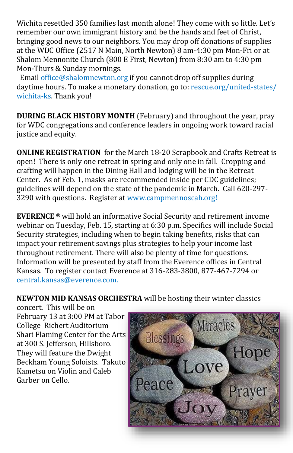Wichita resettled 350 families last month alone! They come with so little. Let's remember our own immigrant history and be the hands and feet of Christ, bringing good news to our neighbors. You may drop off donations of supplies at the WDC Office (2517 N Main, North Newton) 8 am-4:30 pm Mon-Fri or at Shalom Mennonite Church (800 E First, Newton) from 8:30 am to 4:30 pm Mon-Thurs & Sunday mornings.

Email [office@shalomnewton.org](mailto:office@shalomnewton.org) if you cannot drop off supplies during daytime hours. To make a monetary donation, go to: [rescue.org/united](http://rescue.org/united-states/wichita-ks)-states/ [wichita](http://rescue.org/united-states/wichita-ks)-ks. Thank you!

**DURING BLACK HISTORY MONTH** (February) and throughout the year, pray for WDC congregations and conference leaders in ongoing work toward racial justice and equity.

**ONLINE REGISTRATION** for the March 18-20 Scrapbook and Crafts Retreat is open! There is only one retreat in spring and only one in fall. Cropping and crafting will happen in the Dining Hall and lodging will be in the Retreat Center. As of Feb. 1, masks are recommended inside per CDC guidelines; guidelines will depend on the state of the pandemic in March. Call 620-297- 3290 with questions. [Register at www.campmennoscah.org!](https://campmennoscah.campbrainregistration.com/)

**EVERENCE ®** will hold an informative Social Security and retirement income webinar on Tuesday, Feb. 15, starting at 6:30 p.m. Specifics will include Social Security strategies, including when to begin taking benefits, risks that can impact your retirement savings plus strategies to help your income last throughout retirement. There will also be plenty of time for questions. Information will be presented by staff from the Everence offices in Central Kansas. To register contact Everence at 316-283-3800, 877-467-7294 or [central.kansas@everence.com.](mailto:central.kansas@everence.com) 

**NEWTON MID KANSAS ORCHESTRA** will be hosting their winter classics

concert. This will be on February 13 at 3:00 PM at Tabor College Richert Auditorium Shari Flaming Center for the Arts at 300 S. Jefferson, Hillsboro. They will feature the Dwight Beckham Young Soloists. Takuto Kametsu on Violin and Caleb Garber on Cello.